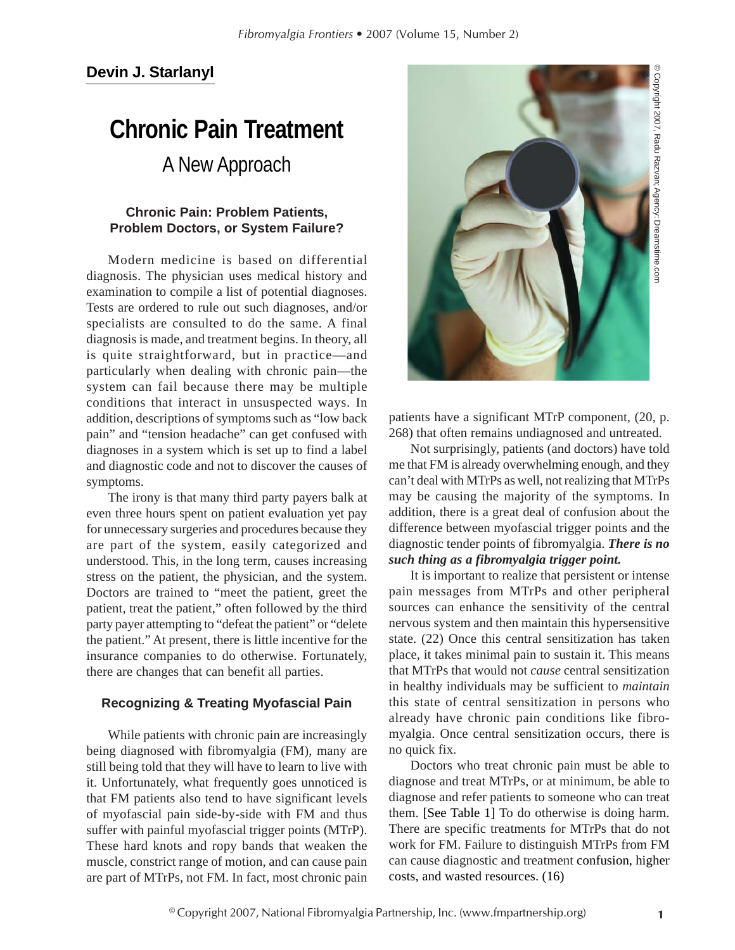# **Chronic Pain Treatment** A New Approach

# **Chronic Pain: Problem Patients, Problem Doctors, or System Failure?**

Modern medicine is based on differential diagnosis. The physician uses medical history and examination to compile a list of potential diagnoses. Tests are ordered to rule out such diagnoses, and/or specialists are consulted to do the same. A final diagnosis is made, and treatment begins. In theory, all is quite straightforward, but in practice—and particularly when dealing with chronic pain—the system can fail because there may be multiple conditions that interact in unsuspected ways. In addition, descriptions of symptoms such as "low back pain" and "tension headache" can get confused with diagnoses in a system which is set up to find a label and diagnostic code and not to discover the causes of symptoms.

The irony is that many third party payers balk at even three hours spent on patient evaluation yet pay for unnecessary surgeries and procedures because they are part of the system, easily categorized and understood. This, in the long term, causes increasing stress on the patient, the physician, and the system. Doctors are trained to "meet the patient, greet the patient, treat the patient," often followed by the third party payer attempting to "defeat the patient" or "delete the patient." At present, there is little incentive for the insurance companies to do otherwise. Fortunately, there are changes that can benefit all parties.

# **Recognizing & Treating Myofascial Pain**

While patients with chronic pain are increasingly being diagnosed with fibromyalgia (FM), many are still being told that they will have to learn to live with it. Unfortunately, what frequently goes unnoticed is that FM patients also tend to have significant levels of myofascial pain side-by-side with FM and thus suffer with painful myofascial trigger points (MTrP). These hard knots and ropy bands that weaken the muscle, constrict range of motion, and can cause pain are part of MTrPs, not FM. In fact, most chronic pain



patients have a significant MTrP component, (20, p. 268) that often remains undiagnosed and untreated.

Not surprisingly, patients (and doctors) have told me that FM is already overwhelming enough, and they can't deal with MTrPs as well, not realizing that MTrPs may be causing the majority of the symptoms. In addition, there is a great deal of confusion about the difference between myofascial trigger points and the diagnostic tender points of fibromyalgia. *There is no such thing as a fibromyalgia trigger point.*

It is important to realize that persistent or intense pain messages from MTrPs and other peripheral sources can enhance the sensitivity of the central nervous system and then maintain this hypersensitive state. (22) Once this central sensitization has taken place, it takes minimal pain to sustain it. This means that MTrPs that would not *cause* central sensitization in healthy individuals may be sufficient to *maintain* this state of central sensitization in persons who already have chronic pain conditions like fibromyalgia. Once central sensitization occurs, there is no quick fix.

Doctors who treat chronic pain must be able to diagnose and treat MTrPs, or at minimum, be able to diagnose and refer patients to someone who can treat them. [See Table 1] To do otherwise is doing harm. There are specific treatments for MTrPs that do not work for FM. Failure to distinguish MTrPs from FM can cause diagnostic and treatment confusion, higher costs, and wasted resources. (16)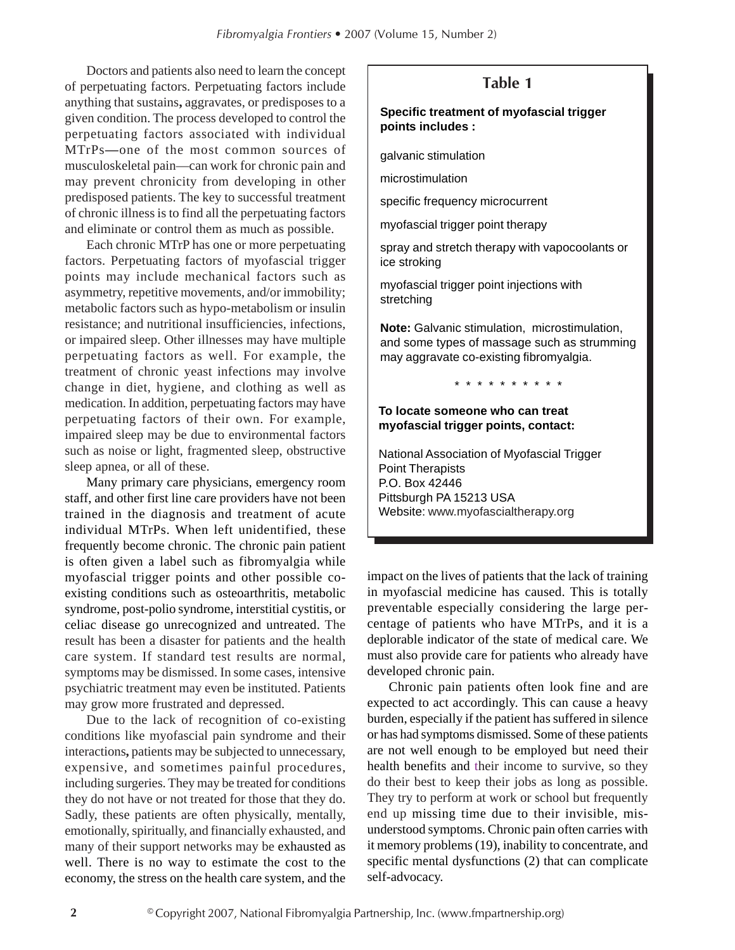Doctors and patients also need to learn the concept of perpetuating factors. Perpetuating factors include anything that sustains**,** aggravates, or predisposes to a given condition. The process developed to control the perpetuating factors associated with individual MTrPs**—**one of the most common sources of musculoskeletal pain—can work for chronic pain and may prevent chronicity from developing in other predisposed patients. The key to successful treatment of chronic illness is to find all the perpetuating factors and eliminate or control them as much as possible.

Each chronic MTrP has one or more perpetuating factors. Perpetuating factors of myofascial trigger points may include mechanical factors such as asymmetry, repetitive movements, and/or immobility; metabolic factors such as hypo-metabolism or insulin resistance; and nutritional insufficiencies, infections, or impaired sleep. Other illnesses may have multiple perpetuating factors as well. For example, the treatment of chronic yeast infections may involve change in diet, hygiene, and clothing as well as medication. In addition, perpetuating factors may have perpetuating factors of their own. For example, impaired sleep may be due to environmental factors such as noise or light, fragmented sleep, obstructive sleep apnea, or all of these.

Many primary care physicians, emergency room staff, and other first line care providers have not been trained in the diagnosis and treatment of acute individual MTrPs. When left unidentified, these frequently become chronic. The chronic pain patient is often given a label such as fibromyalgia while myofascial trigger points and other possible coexisting conditions such as osteoarthritis, metabolic syndrome, post-polio syndrome, interstitial cystitis, or celiac disease go unrecognized and untreated. The result has been a disaster for patients and the health care system. If standard test results are normal, symptoms may be dismissed. In some cases, intensive psychiatric treatment may even be instituted. Patients may grow more frustrated and depressed.

Due to the lack of recognition of co-existing conditions like myofascial pain syndrome and their interactions**,** patients may be subjected to unnecessary, expensive, and sometimes painful procedures, including surgeries. They may be treated for conditions they do not have or not treated for those that they do. Sadly, these patients are often physically, mentally, emotionally, spiritually, and financially exhausted, and many of their support networks may be exhausted as well. There is no way to estimate the cost to the economy, the stress on the health care system, and the

# **Table 1**

#### **Specific treatment of myofascial trigger points includes :**

galvanic stimulation

microstimulation

specific frequency microcurrent

myofascial trigger point therapy

spray and stretch therapy with vapocoolants or ice stroking

myofascial trigger point injections with stretching

**Note:** Galvanic stimulation, microstimulation, and some types of massage such as strumming may aggravate co-existing fibromyalgia.

\* \* \* \* \* \* \* \* \* \* \*

#### **To locate someone who can treat myofascial trigger points, contact:**

National Association of Myofascial Trigger Point Therapists P.O. Box 42446 Pittsburgh PA 15213 USA Website: www.myofascialtherapy.org

impact on the lives of patients that the lack of training in myofascial medicine has caused. This is totally preventable especially considering the large percentage of patients who have MTrPs, and it is a deplorable indicator of the state of medical care. We must also provide care for patients who already have developed chronic pain.

Chronic pain patients often look fine and are expected to act accordingly. This can cause a heavy burden, especially if the patient has suffered in silence or has had symptoms dismissed. Some of these patients are not well enough to be employed but need their health benefits and their income to survive, so they do their best to keep their jobs as long as possible. They try to perform at work or school but frequently end up missing time due to their invisible, misunderstood symptoms. Chronic pain often carries with it memory problems (19), inability to concentrate, and specific mental dysfunctions (2) that can complicate self-advocacy.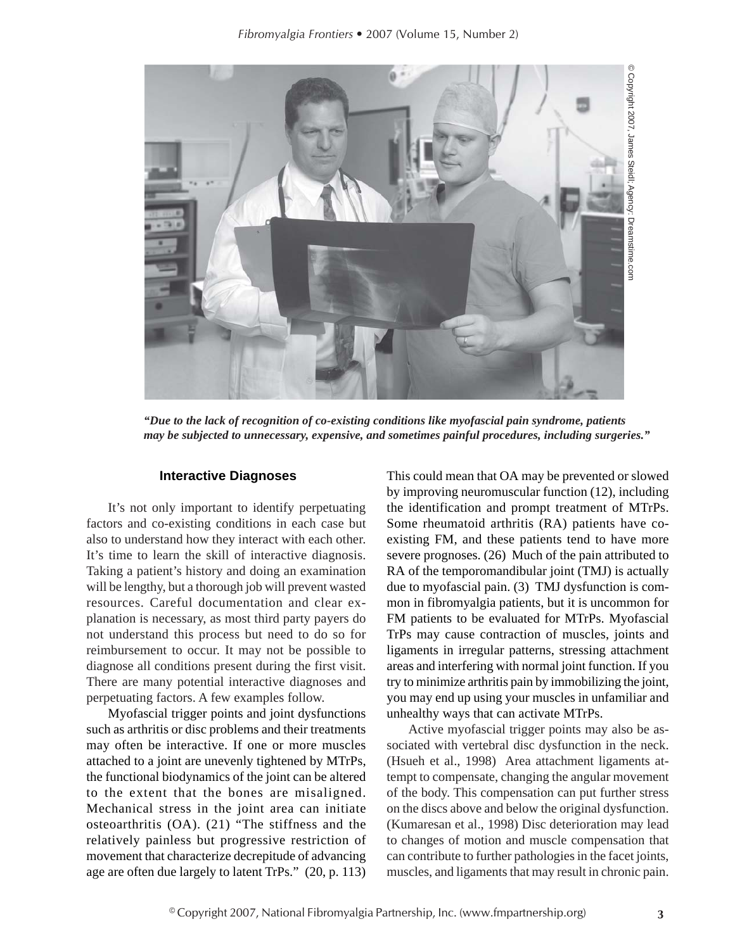

*"Due to the lack of recognition of co-existing conditions like myofascial pain syndrome, patients*

# **Interactive Diagnoses**

It's not only important to identify perpetuating factors and co-existing conditions in each case but also to understand how they interact with each other. It's time to learn the skill of interactive diagnosis. Taking a patient's history and doing an examination will be lengthy, but a thorough job will prevent wasted resources. Careful documentation and clear explanation is necessary, as most third party payers do not understand this process but need to do so for reimbursement to occur. It may not be possible to diagnose all conditions present during the first visit. There are many potential interactive diagnoses and perpetuating factors. A few examples follow.

Myofascial trigger points and joint dysfunctions such as arthritis or disc problems and their treatments may often be interactive. If one or more muscles attached to a joint are unevenly tightened by MTrPs, the functional biodynamics of the joint can be altered to the extent that the bones are misaligned. Mechanical stress in the joint area can initiate osteoarthritis (OA). (21) "The stiffness and the relatively painless but progressive restriction of movement that characterize decrepitude of advancing age are often due largely to latent TrPs." (20, p. 113) This could mean that OA may be prevented or slowed by improving neuromuscular function (12), including the identification and prompt treatment of MTrPs. Some rheumatoid arthritis (RA) patients have coexisting FM, and these patients tend to have more severe prognoses. (26) Much of the pain attributed to RA of the temporomandibular joint (TMJ) is actually due to myofascial pain. (3) TMJ dysfunction is common in fibromyalgia patients, but it is uncommon for FM patients to be evaluated for MTrPs. Myofascial TrPs may cause contraction of muscles, joints and ligaments in irregular patterns, stressing attachment areas and interfering with normal joint function. If you try to minimize arthritis pain by immobilizing the joint, you may end up using your muscles in unfamiliar and unhealthy ways that can activate MTrPs.

Active myofascial trigger points may also be associated with vertebral disc dysfunction in the neck. (Hsueh et al., 1998) Area attachment ligaments attempt to compensate, changing the angular movement of the body. This compensation can put further stress on the discs above and below the original dysfunction. (Kumaresan et al., 1998) Disc deterioration may lead to changes of motion and muscle compensation that can contribute to further pathologies in the facet joints, muscles, and ligaments that may result in chronic pain.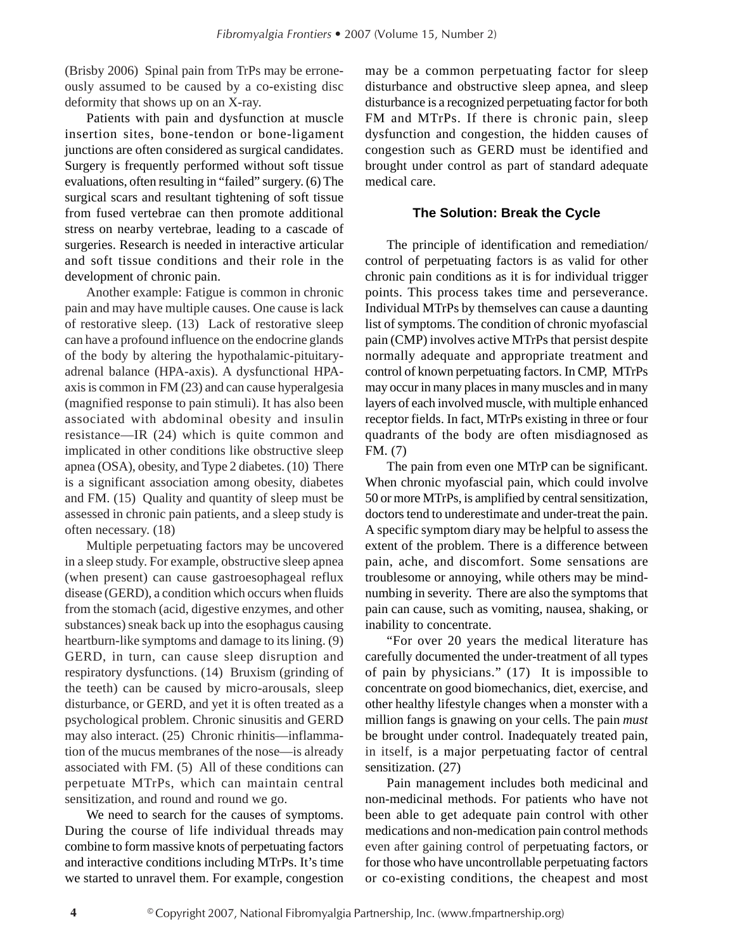(Brisby 2006) Spinal pain from TrPs may be erroneously assumed to be caused by a co-existing disc deformity that shows up on an X-ray.

Patients with pain and dysfunction at muscle insertion sites, bone-tendon or bone-ligament junctions are often considered as surgical candidates. Surgery is frequently performed without soft tissue evaluations, often resulting in "failed" surgery. (6) The surgical scars and resultant tightening of soft tissue from fused vertebrae can then promote additional stress on nearby vertebrae, leading to a cascade of surgeries. Research is needed in interactive articular and soft tissue conditions and their role in the development of chronic pain.

Another example: Fatigue is common in chronic pain and may have multiple causes. One cause is lack of restorative sleep. (13) Lack of restorative sleep can have a profound influence on the endocrine glands of the body by altering the hypothalamic-pituitaryadrenal balance (HPA-axis). A dysfunctional HPAaxis is common in FM (23) and can cause hyperalgesia (magnified response to pain stimuli). It has also been associated with abdominal obesity and insulin resistance—IR (24) which is quite common and implicated in other conditions like obstructive sleep apnea (OSA), obesity, and Type 2 diabetes. (10) There is a significant association among obesity, diabetes and FM. (15) Quality and quantity of sleep must be assessed in chronic pain patients, and a sleep study is often necessary. (18)

Multiple perpetuating factors may be uncovered in a sleep study. For example, obstructive sleep apnea (when present) can cause gastroesophageal reflux disease (GERD), a condition which occurs when fluids from the stomach (acid, digestive enzymes, and other substances) sneak back up into the esophagus causing heartburn-like symptoms and damage to its lining. (9) GERD, in turn, can cause sleep disruption and respiratory dysfunctions. (14) Bruxism (grinding of the teeth) can be caused by micro-arousals, sleep disturbance, or GERD, and yet it is often treated as a psychological problem. Chronic sinusitis and GERD may also interact. (25) Chronic rhinitis—inflammation of the mucus membranes of the nose—is already associated with FM. (5) All of these conditions can perpetuate MTrPs, which can maintain central sensitization, and round and round we go.

We need to search for the causes of symptoms. During the course of life individual threads may combine to form massive knots of perpetuating factors and interactive conditions including MTrPs. It's time we started to unravel them. For example, congestion

may be a common perpetuating factor for sleep disturbance and obstructive sleep apnea, and sleep disturbance is a recognized perpetuating factor for both FM and MTrPs. If there is chronic pain, sleep dysfunction and congestion, the hidden causes of congestion such as GERD must be identified and brought under control as part of standard adequate medical care.

# **The Solution: Break the Cycle**

The principle of identification and remediation/ control of perpetuating factors is as valid for other chronic pain conditions as it is for individual trigger points. This process takes time and perseverance. Individual MTrPs by themselves can cause a daunting list of symptoms. The condition of chronic myofascial pain (CMP) involves active MTrPs that persist despite normally adequate and appropriate treatment and control of known perpetuating factors. In CMP, MTrPs may occur in many places in many muscles and in many layers of each involved muscle, with multiple enhanced receptor fields. In fact, MTrPs existing in three or four quadrants of the body are often misdiagnosed as FM. (7)

The pain from even one MTrP can be significant. When chronic myofascial pain, which could involve 50 or more MTrPs, is amplified by central sensitization, doctors tend to underestimate and under-treat the pain. A specific symptom diary may be helpful to assess the extent of the problem. There is a difference between pain, ache, and discomfort. Some sensations are troublesome or annoying, while others may be mindnumbing in severity. There are also the symptoms that pain can cause, such as vomiting, nausea, shaking, or inability to concentrate.

"For over 20 years the medical literature has carefully documented the under-treatment of all types of pain by physicians." (17) It is impossible to concentrate on good biomechanics, diet, exercise, and other healthy lifestyle changes when a monster with a million fangs is gnawing on your cells. The pain *must* be brought under control. Inadequately treated pain, in itself, is a major perpetuating factor of central sensitization. (27)

Pain management includes both medicinal and non-medicinal methods. For patients who have not been able to get adequate pain control with other medications and non-medication pain control methods even after gaining control of perpetuating factors, or for those who have uncontrollable perpetuating factors or co-existing conditions, the cheapest and most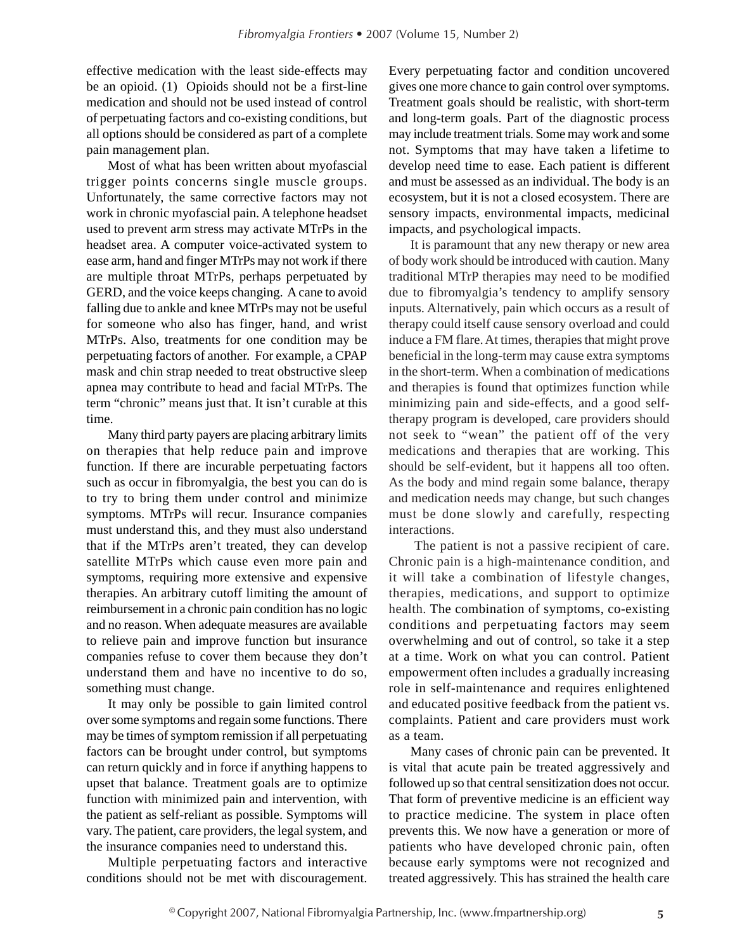effective medication with the least side-effects may be an opioid. (1) Opioids should not be a first-line medication and should not be used instead of control of perpetuating factors and co-existing conditions, but all options should be considered as part of a complete pain management plan.

Most of what has been written about myofascial trigger points concerns single muscle groups. Unfortunately, the same corrective factors may not work in chronic myofascial pain. A telephone headset used to prevent arm stress may activate MTrPs in the headset area. A computer voice-activated system to ease arm, hand and finger MTrPs may not work if there are multiple throat MTrPs, perhaps perpetuated by GERD, and the voice keeps changing. A cane to avoid falling due to ankle and knee MTrPs may not be useful for someone who also has finger, hand, and wrist MTrPs. Also, treatments for one condition may be perpetuating factors of another. For example, a CPAP mask and chin strap needed to treat obstructive sleep apnea may contribute to head and facial MTrPs. The term "chronic" means just that. It isn't curable at this time.

Many third party payers are placing arbitrary limits on therapies that help reduce pain and improve function. If there are incurable perpetuating factors such as occur in fibromyalgia, the best you can do is to try to bring them under control and minimize symptoms. MTrPs will recur. Insurance companies must understand this, and they must also understand that if the MTrPs aren't treated, they can develop satellite MTrPs which cause even more pain and symptoms, requiring more extensive and expensive therapies. An arbitrary cutoff limiting the amount of reimbursement in a chronic pain condition has no logic and no reason. When adequate measures are available to relieve pain and improve function but insurance companies refuse to cover them because they don't understand them and have no incentive to do so, something must change.

It may only be possible to gain limited control over some symptoms and regain some functions. There may be times of symptom remission if all perpetuating factors can be brought under control, but symptoms can return quickly and in force if anything happens to upset that balance. Treatment goals are to optimize function with minimized pain and intervention, with the patient as self-reliant as possible. Symptoms will vary. The patient, care providers, the legal system, and the insurance companies need to understand this.

Multiple perpetuating factors and interactive conditions should not be met with discouragement.

Every perpetuating factor and condition uncovered gives one more chance to gain control over symptoms. Treatment goals should be realistic, with short-term and long-term goals. Part of the diagnostic process may include treatment trials. Some may work and some not. Symptoms that may have taken a lifetime to develop need time to ease. Each patient is different and must be assessed as an individual. The body is an ecosystem, but it is not a closed ecosystem. There are sensory impacts, environmental impacts, medicinal impacts, and psychological impacts.

It is paramount that any new therapy or new area of body work should be introduced with caution. Many traditional MTrP therapies may need to be modified due to fibromyalgia's tendency to amplify sensory inputs. Alternatively, pain which occurs as a result of therapy could itself cause sensory overload and could induce a FM flare. At times, therapies that might prove beneficial in the long-term may cause extra symptoms in the short-term. When a combination of medications and therapies is found that optimizes function while minimizing pain and side-effects, and a good selftherapy program is developed, care providers should not seek to "wean" the patient off of the very medications and therapies that are working. This should be self-evident, but it happens all too often. As the body and mind regain some balance, therapy and medication needs may change, but such changes must be done slowly and carefully, respecting interactions.

 The patient is not a passive recipient of care. Chronic pain is a high-maintenance condition, and it will take a combination of lifestyle changes, therapies, medications, and support to optimize health. The combination of symptoms, co-existing conditions and perpetuating factors may seem overwhelming and out of control, so take it a step at a time. Work on what you can control. Patient empowerment often includes a gradually increasing role in self-maintenance and requires enlightened and educated positive feedback from the patient vs. complaints. Patient and care providers must work as a team.

Many cases of chronic pain can be prevented. It is vital that acute pain be treated aggressively and followed up so that central sensitization does not occur. That form of preventive medicine is an efficient way to practice medicine. The system in place often prevents this. We now have a generation or more of patients who have developed chronic pain, often because early symptoms were not recognized and treated aggressively. This has strained the health care